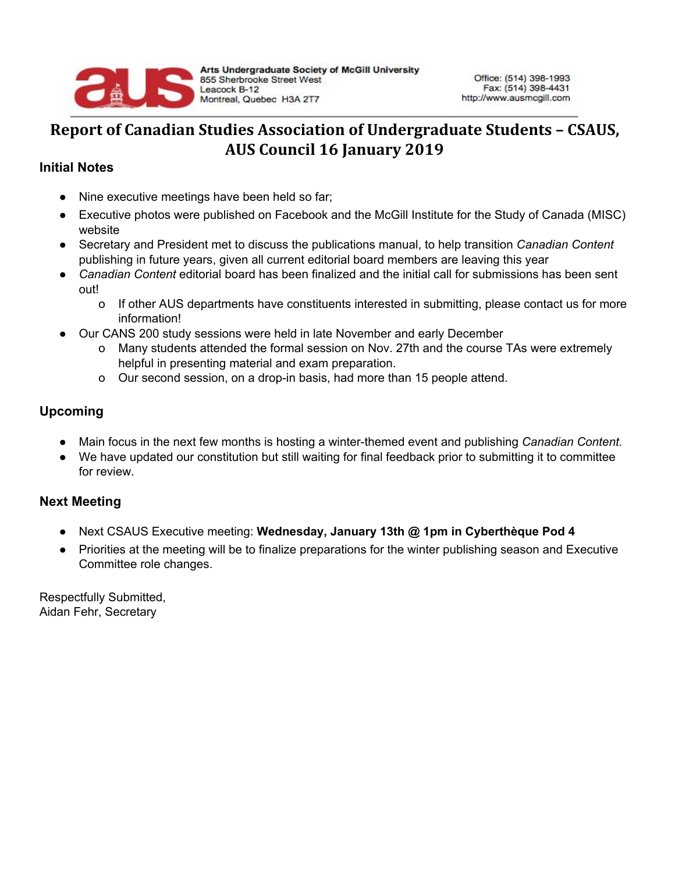

## **Report of Canadian Studies Association of Undergraduate Students – CSAUS, AUS Council 16 January 2019**

## **Initial Notes**

- Nine executive meetings have been held so far;
- Executive photos were published on Facebook and the McGill Institute for the Study of Canada (MISC) website
- Secretary and President met to discuss the publications manual, to help transition *Canadian Content* publishing in future years, given all current editorial board members are leaving this year
- *Canadian Content* editorial board has been finalized and the initial call for submissions has been sent out!
	- o If other AUS departments have constituents interested in submitting, please contact us for more information!
- Our CANS 200 study sessions were held in late November and early December
	- o Many students attended the formal session on Nov. 27th and the course TAs were extremely helpful in presenting material and exam preparation.
	- o Our second session, on a drop-in basis, had more than 15 people attend.

## **Upcoming**

- Main focus in the next few months is hosting a winter-themed event and publishing *Canadian Content.*
- We have updated our constitution but still waiting for final feedback prior to submitting it to committee for review.

## **Next Meeting**

- Next CSAUS Executive meeting: **Wednesday, January 13th @ 1pm in Cyberthèque Pod 4**
- Priorities at the meeting will be to finalize preparations for the winter publishing season and Executive Committee role changes.

Respectfully Submitted, Aidan Fehr, Secretary